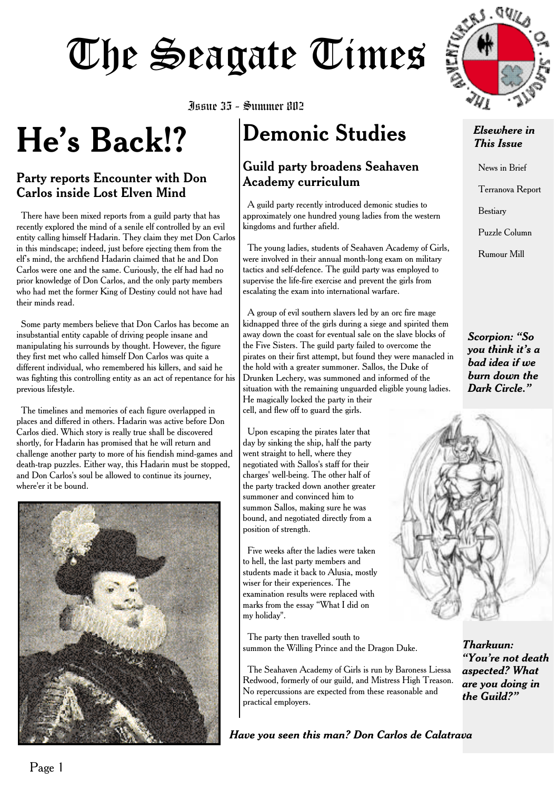# The Seagate Times

**He's Back!?**

#### Party reports Encounter with Don Carlos inside Lost Elven Mind

There have been mixed reports from a guild party that has recently explored the mind of a senile elf controlled by an evil entity calling himself Hadarin. They claim they met Don Carlos in this mindscape; indeed, just before ejecting them from the elf's mind, the archfiend Hadarin claimed that he and Don Carlos were one and the same. Curiously, the elf had had no prior knowledge of Don Carlos, and the only party members who had met the former King of Destiny could not have had their minds read.

Some party members believe that Don Carlos has become an insubstantial entity capable of driving people insane and manipulating his surrounds by thought. However, the figure they first met who called himself Don Carlos was quite a different individual, who remembered his killers, and said he was fighting this controlling entity as an act of repentance for his previous lifestyle.

The timelines and memories of each figure overlapped in places and differed in others. Hadarin was active before Don Carlos died. Which story is really true shall be discovered shortly, for Hadarin has promised that he will return and challenge another party to more of his fiendish mind-games and death-trap puzzles. Either way, this Hadarin must be stopped, and Don Carlos's soul be allowed to continue its journey, where'er it be bound.



Issue 35 - Summer 802

## **Demonic Studies**

#### Guild party broadens Seahaven Academy curriculum

A guild party recently introduced demonic studies to approximately one hundred young ladies from the western kingdoms and further afield.

The young ladies, students of Seahaven Academy of Girls, were involved in their annual month-long exam on military tactics and self-defence. The guild party was employed to supervise the life-fire exercise and prevent the girls from escalating the exam into international warfare.

A group of evil southern slavers led by an orc fire mage kidnapped three of the girls during a siege and spirited them away down the coast for eventual sale on the slave blocks of the Five Sisters. The guild party failed to overcome the pirates on their first attempt, but found they were manacled in the hold with a greater summoner. Sallos, the Duke of Drunken Lechery, was summoned and informed of the situation with the remaining unguarded eligible young ladies. He magically locked the party in their cell, and flew off to guard the girls.

Upon escaping the pirates later that day by sinking the ship, half the party went straight to hell, where they negotiated with Sallos's staff for their charges' well-being. The other half of the party tracked down another greater summoner and convinced him to summon Sallos, making sure he was bound, and negotiated directly from a position of strength.

Five weeks after the ladies were taken to hell, the last party members and students made it back to Alusia, mostly wiser for their experiences. The examination results were replaced with marks from the essay "What I did on my holiday".

The party then travelled south to summon the Willing Prince and the Dragon Duke.

The Seahaven Academy of Girls is run by Baroness Liessa Redwood, formerly of our guild, and Mistress High Treason. No repercussions are expected from these reasonable and practical employers.

*Have you seen this man? Don Carlos de Calatrava*



*Elsewhere in This Issue*

News in Brief

Terranova Report

Bestiary

Puzzle Column

Rumour Mill

*Scorpion: "So you think it's a bad idea if we burn down the Dark Circle."*



*Tharkuun: "You're not death aspected? What are you doing in the Guild?"*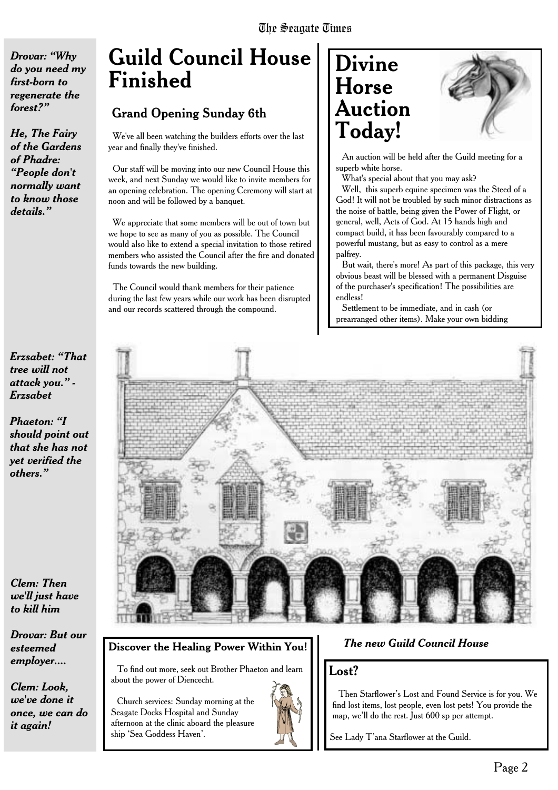*Drovar: "Why do you need my first-born to regenerate the forest?"*

*He, The Fairy of the Gardens of Phadre: "People don't normally want to know those details."*

*Erzsabet: "That tree will not attack you." - Erzsabet*

*Phaeton: "I should point out that she has not yet verified the others."*

*Clem: Then we'll just have to kill him*

*Drovar: But our esteemed employer....*

*Clem: Look, we've done it once, we can do it again!*

## **Guild Council House Finished**

#### Grand Opening Sunday 6th

We've all been watching the builders efforts over the last year and finally they've finished.

Our staff will be moving into our new Council House this week, and next Sunday we would like to invite members for an opening celebration. The opening Ceremony will start at noon and will be followed by a banquet.

We appreciate that some members will be out of town but we hope to see as many of you as possible. The Council would also like to extend a special invitation to those retired members who assisted the Council after the fire and donated funds towards the new building.

The Council would thank members for their patience during the last few years while our work has been disrupted and our records scattered through the compound.

### **Divine Horse Auction Today!**



An auction will be held after the Guild meeting for a superb white horse.

What's special about that you may ask?

Well, this superb equine specimen was the Steed of a God! It will not be troubled by such minor distractions as the noise of battle, being given the Power of Flight, or general, well, Acts of God. At 15 hands high and compact build, it has been favourably compared to a powerful mustang, but as easy to control as a mere palfrey.

But wait, there's more! As part of this package, this very obvious beast will be blessed with a permanent Disguise of the purchaser's specification! The possibilities are endless!

Settlement to be immediate, and in cash (or prearranged other items). Make your own bidding



#### **Discover the Healing Power Within You!** *The new Guild Council House*

To find out more, seek out Brother Phaeton and learn about the power of Diencecht.

Church services: Sunday morning at the Seagate Docks Hospital and Sunday afternoon at the clinic aboard the pleasure ship 'Sea Goddess Haven'.



#### Lost?

Then Starflower's Lost and Found Service is for you. We find lost items, lost people, even lost pets! You provide the map, we'll do the rest. Just 600 sp per attempt.

See Lady T'ana Starflower at the Guild.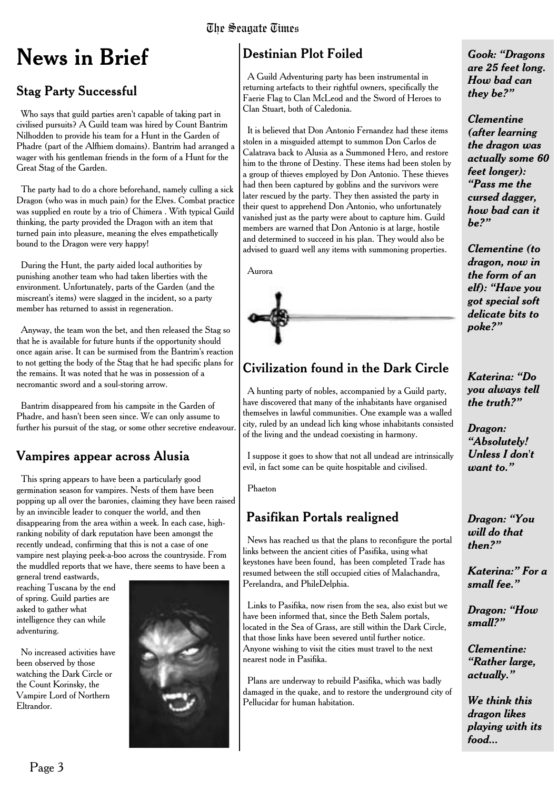#### The Seagate Times

## **News in Brief**

#### Stag Party Successful

Who says that guild parties aren't capable of taking part in civilised pursuits? A Guild team was hired by Count Bantrim Nilhodden to provide his team for a Hunt in the Garden of Phadre (part of the Alfhiem domains). Bantrim had arranged a wager with his gentleman friends in the form of a Hunt for the Great Stag of the Garden.

The party had to do a chore beforehand, namely culling a sick Dragon (who was in much pain) for the Elves. Combat practice was supplied en route by a trio of Chimera . With typical Guild thinking, the party provided the Dragon with an item that turned pain into pleasure, meaning the elves empathetically bound to the Dragon were very happy!

During the Hunt, the party aided local authorities by punishing another team who had taken liberties with the environment. Unfortunately, parts of the Garden (and the miscreant's items) were slagged in the incident, so a party member has returned to assist in regeneration.

Anyway, the team won the bet, and then released the Stag so that he is available for future hunts if the opportunity should once again arise. It can be surmised from the Bantrim's reaction to not getting the body of the Stag that he had specific plans for the remains. It was noted that he was in possession of a necromantic sword and a soul-storing arrow.

Bantrim disappeared from his campsite in the Garden of Phadre, and hasn't been seen since. We can only assume to further his pursuit of the stag, or some other secretive endeavour.

#### Vampires appear across Alusia

This spring appears to have been a particularly good germination season for vampires. Nests of them have been popping up all over the baronies, claiming they have been raised by an invincible leader to conquer the world, and then disappearing from the area within a week. In each case, highranking nobility of dark reputation have been amongst the recently undead, confirming that this is not a case of one vampire nest playing peek-a-boo across the countryside. From the muddled reports that we have, there seems to have been a

general trend eastwards, reaching Tuscana by the end of spring. Guild parties are asked to gather what intelligence they can while adventuring.

No increased activities have been observed by those watching the Dark Circle or the Count Korinsky, the Vampire Lord of Northern Eltrandor.



### Destinian Plot Foiled

A Guild Adventuring party has been instrumental in returning artefacts to their rightful owners, specifically the Faerie Flag to Clan McLeod and the Sword of Heroes to Clan Stuart, both of Caledonia.

It is believed that Don Antonio Fernandez had these items stolen in a misguided attempt to summon Don Carlos de Calatrava back to Alusia as a Summoned Hero, and restore him to the throne of Destiny. These items had been stolen by a group of thieves employed by Don Antonio. These thieves had then been captured by goblins and the survivors were later rescued by the party. They then assisted the party in their quest to apprehend Don Antonio, who unfortunately vanished just as the party were about to capture him. Guild members are warned that Don Antonio is at large, hostile and determined to succeed in his plan. They would also be advised to guard well any items with summoning properties.

Aurora



### Civilization found in the Dark Circle

A hunting party of nobles, accompanied by a Guild party, have discovered that many of the inhabitants have organised themselves in lawful communities. One example was a walled city, ruled by an undead lich king whose inhabitants consisted of the living and the undead coexisting in harmony.

I suppose it goes to show that not all undead are intrinsically evil, in fact some can be quite hospitable and civilised.

Phaeton

#### Pasifikan Portals realigned

News has reached us that the plans to reconfigure the portal links between the ancient cities of Pasifika, using what keystones have been found, has been completed Trade has resumed between the still occupied cities of Malachandra, Perelandra, and PhileDelphia.

Links to Pasifika, now risen from the sea, also exist but we have been informed that, since the Beth Salem portals, located in the Sea of Grass, are still within the Dark Circle, that those links have been severed until further notice. Anyone wishing to visit the cities must travel to the next nearest node in Pasifika.

Plans are underway to rebuild Pasifika, which was badly damaged in the quake, and to restore the underground city of Pellucidar for human habitation.

*Gook: "Dragons are 25 feet long. How bad can they be?"*

*Clementine (after learning the dragon was actually some 60 feet longer): "Pass me the cursed dagger, how bad can it be?"*

*Clementine (to dragon, now in the form of an elf): "Have you got special soft delicate bits to poke?"*

*Katerina: "Do you always tell the truth?"*

*Dragon: "Absolutely! Unless I don't want to."*

*Dragon: "You will do that then?"*

*Katerina:" For a small fee."*

*Dragon: "How small?"*

*Clementine: "Rather large, actually."*

*We think this dragon likes playing with its food...*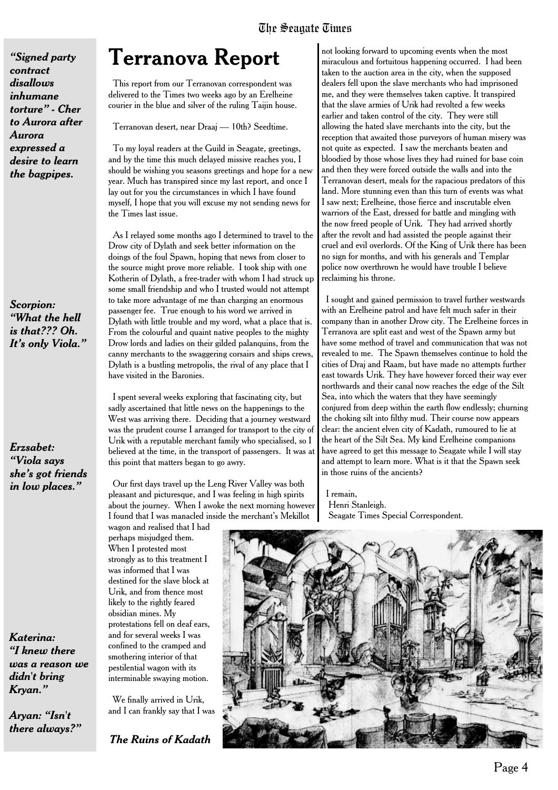*"Signed party contract disallows inhumane torture" - Cher to Aurora after Aurora expressed a desire to learn the bagpipes.*

*Scorpion: "What the hell is that??? Oh. It's only Viola."*

*Erzsabet: "Viola says she's got friends in low places."*

*Katerina: "I knew there was a reason we didn't bring Kryan."*

*Aryan: "Isn't there always?"*

### **Terranova Report**

This report from our Terranovan correspondent was delivered to the Times two weeks ago by an Erelheine courier in the blue and silver of the ruling Taijin house.

Terranovan desert, near Draaj — 10th? Seedtime.

To my loyal readers at the Guild in Seagate, greetings, and by the time this much delayed missive reaches you, I should be wishing you seasons greetings and hope for a new year. Much has transpired since my last report, and once I lay out for you the circumstances in which I have found myself, I hope that you will excuse my not sending news for the Times last issue.

As I relayed some months ago I determined to travel to the Drow city of Dylath and seek better information on the doings of the foul Spawn, hoping that news from closer to the source might prove more reliable. I took ship with one Kotherin of Dylath, a free-trader with whom I had struck up some small friendship and who I trusted would not attempt to take more advantage of me than charging an enormous passenger fee. True enough to his word we arrived in Dylath with little trouble and my word, what a place that is. From the colourful and quaint native peoples to the mighty Drow lords and ladies on their gilded palanquins, from the canny merchants to the swaggering corsairs and ships crews, Dylath is a bustling metropolis, the rival of any place that I have visited in the Baronies.

I spent several weeks exploring that fascinating city, but sadly ascertained that little news on the happenings to the West was arriving there. Deciding that a journey westward was the prudent course I arranged for transport to the city of Urik with a reputable merchant family who specialised, so I believed at the time, in the transport of passengers. It was at this point that matters began to go awry.

Our first days travel up the Leng River Valley was both pleasant and picturesque, and I was feeling in high spirits about the journey. When I awoke the next morning however I found that I was manacled inside the merchant's Mekillot

wagon and realised that I had perhaps misjudged them. When I protested most strongly as to this treatment I was informed that I was destined for the slave block at Urik, and from thence most likely to the rightly feared obsidian mines. My protestations fell on deaf ears, and for several weeks I was confined to the cramped and smothering interior of that pestilential wagon with its interminable swaying motion.

We finally arrived in Urik, and I can frankly say that I was

*The Ruins of Kadath*

not looking forward to upcoming events when the most miraculous and fortuitous happening occurred. I had been taken to the auction area in the city, when the supposed dealers fell upon the slave merchants who had imprisoned me, and they were themselves taken captive. It transpired that the slave armies of Urik had revolted a few weeks earlier and taken control of the city. They were still allowing the hated slave merchants into the city, but the reception that awaited those purveyors of human misery was not quite as expected. I saw the merchants beaten and bloodied by those whose lives they had ruined for base coin and then they were forced outside the walls and into the Terranovan desert, meals for the rapacious predators of this land. More stunning even than this turn of events was what I saw next; Erelheine, those fierce and inscrutable elven warriors of the East, dressed for battle and mingling with the now freed people of Urik. They had arrived shortly after the revolt and had assisted the people against their cruel and evil overlords. Of the King of Urik there has been no sign for months, and with his generals and Templar police now overthrown he would have trouble I believe reclaiming his throne.

I sought and gained permission to travel further westwards with an Erelheine patrol and have felt much safer in their company than in another Drow city. The Erelheine forces in Terranova are split east and west of the Spawn army but have some method of travel and communication that was not revealed to me. The Spawn themselves continue to hold the cities of Draj and Raam, but have made no attempts further east towards Urik. They have however forced their way ever northwards and their canal now reaches the edge of the Silt Sea, into which the waters that they have seemingly conjured from deep within the earth flow endlessly; churning the choking silt into filthy mud. Their course now appears clear: the ancient elven city of Kadath, rumoured to lie at the heart of the Silt Sea. My kind Erelheine companions have agreed to get this message to Seagate while I will stay and attempt to learn more. What is it that the Spawn seek in those ruins of the ancients?

I remain, Henri Stanleigh. Seagate Times Special Correspondent.

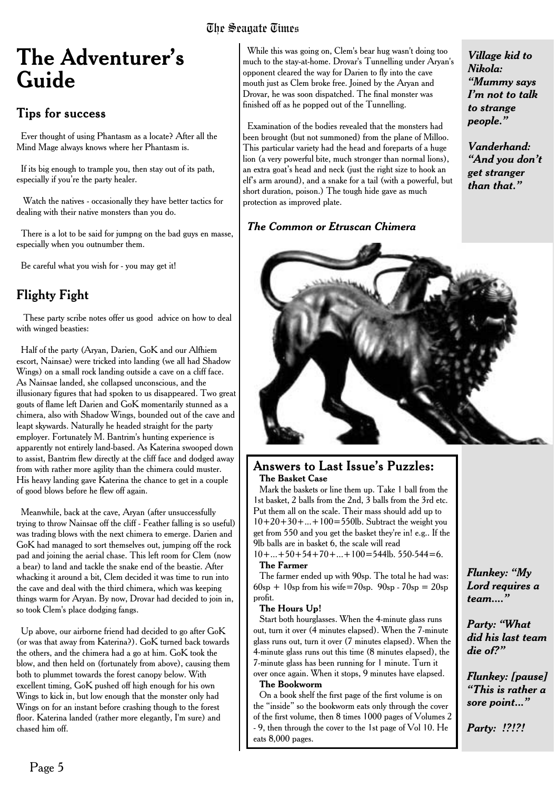#### The Seagate Times

## **The Adventurer's Guide**

#### Tips for success

Ever thought of using Phantasm as a locate? After all the Mind Mage always knows where her Phantasm is.

If its big enough to trample you, then stay out of its path, especially if you're the party healer.

Watch the natives - occasionally they have better tactics for dealing with their native monsters than you do.

There is a lot to be said for jumpng on the bad guys en masse, especially when you outnumber them.

Be careful what you wish for - you may get it!

#### **Flighty Fight**

These party scribe notes offer us good advice on how to deal with winged beasties:

Half of the party (Aryan, Darien, GoK and our Alfhiem escort, Nainsae) were tricked into landing (we all had Shadow Wings) on a small rock landing outside a cave on a cliff face. As Nainsae landed, she collapsed unconscious, and the illusionary figures that had spoken to us disappeared. Two great gouts of flame left Darien and GoK momentarily stunned as a chimera, also with Shadow Wings, bounded out of the cave and leapt skywards. Naturally he headed straight for the party employer. Fortunately M. Bantrim's hunting experience is apparently not entirely land-based. As Katerina swooped down to assist, Bantrim flew directly at the cliff face and dodged away from with rather more agility than the chimera could muster. His heavy landing gave Katerina the chance to get in a couple of good blows before he flew off again.

Meanwhile, back at the cave, Aryan (after unsuccessfully trying to throw Nainsae off the cliff - Feather falling is so useful) was trading blows with the next chimera to emerge. Darien and GoK had managed to sort themselves out, jumping off the rock pad and joining the aerial chase. This left room for Clem (now a bear) to land and tackle the snake end of the beastie. After whacking it around a bit, Clem decided it was time to run into the cave and deal with the third chimera, which was keeping things warm for Aryan. By now, Drovar had decided to join in, so took Clem's place dodging fangs.

Up above, our airborne friend had decided to go after GoK (or was that away from Katerina?). GoK turned back towards the others, and the chimera had a go at him. GoK took the blow, and then held on (fortunately from above), causing them both to plummet towards the forest canopy below. With excellent timing, GoK pushed off high enough for his own Wings to kick in, but low enough that the monster only had Wings on for an instant before crashing though to the forest floor. Katerina landed (rather more elegantly, I'm sure) and chased him off.

While this was going on, Clem's bear hug wasn't doing too much to the stay-at-home. Drovar's Tunnelling under Aryan's opponent cleared the way for Darien to fly into the cave mouth just as Clem broke free. Joined by the Aryan and Drovar, he was soon dispatched. The final monster was finished off as he popped out of the Tunnelling.

Examination of the bodies revealed that the monsters had been brought (but not summoned) from the plane of Milloo. This particular variety had the head and foreparts of a huge lion (a very powerful bite, much stronger than normal lions), an extra goat's head and neck (just the right size to hook an elf's arm around), and a snake for a tail (with a powerful, but short duration, poison.) The tough hide gave as much protection as improved plate.

#### *The Common or Etruscan Chimera*

*Village kid to Nikola: "Mummy says I'm not to talk to strange people."*

*Vanderhand: "And you don't get stranger than that."*



#### Answers to Last Issue's Puzzles: **The Basket Case**

Mark the baskets or line them up. Take 1 ball from the 1st basket, 2 balls from the 2nd, 3 balls from the 3rd etc. Put them all on the scale. Their mass should add up to  $10+20+30+...+100=550$ lb. Subtract the weight you get from 550 and you get the basket they're in! e.g.. If the 9lb balls are in basket 6, the scale will read

 $10+...+50+54+70+...+100=544$ lb. 550-544=6.

#### **The Farmer**

The farmer ended up with 90sp. The total he had was:  $60sp + 10sp$  from his wife=70sp. 90sp - 70sp = 20sp profit.

#### **The Hours Up!**

Start both hourglasses. When the 4-minute glass runs out, turn it over (4 minutes elapsed). When the 7-minute glass runs out, turn it over (7 minutes elapsed). When the 4-minute glass runs out this time (8 minutes elapsed), the 7-minute glass has been running for 1 minute. Turn it

over once again. When it stops, 9 minutes have elapsed. **The Bookworm**

On a book shelf the first page of the first volume is on the "inside" so the bookworm eats only through the cover of the first volume, then 8 times 1000 pages of Volumes 2 - 9, then through the cover to the 1st page of Vol 10. He eats 8,000 pages.

*Flunkey: "My Lord requires a team...."*

*Party: "What did his last team die of?"*

*Flunkey: [pause] "This is rather a sore point..."*

*Party: !?!?!*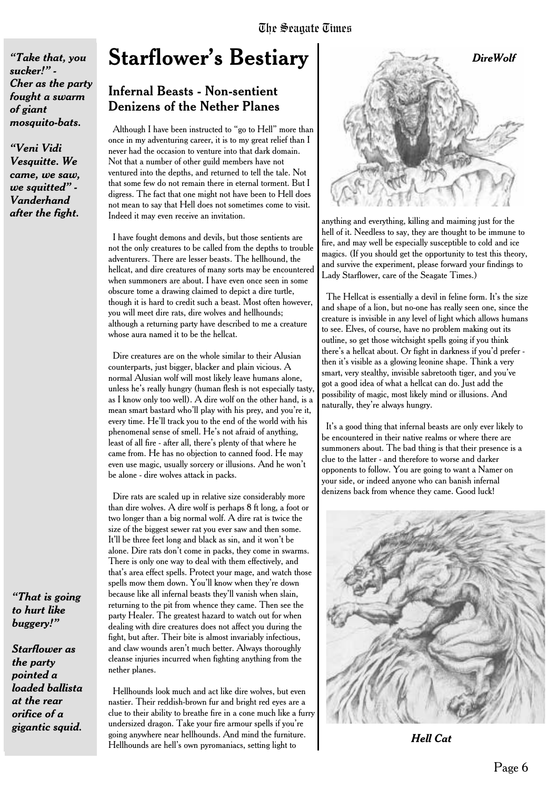*"Take that, you sucker!" - Cher as the party fought a swarm of giant mosquito-bats.*

*"Veni Vidi Vesquitte. We came, we saw, we squitted" - Vanderhand after the fight.*

### **Starflower's Bestiary**

#### Infernal Beasts - Non-sentient Denizens of the Nether Planes

Although I have been instructed to "go to Hell" more than once in my adventuring career, it is to my great relief than I never had the occasion to venture into that dark domain. Not that a number of other guild members have not ventured into the depths, and returned to tell the tale. Not that some few do not remain there in eternal torment. But I digress. The fact that one might not have been to Hell does not mean to say that Hell does not sometimes come to visit. Indeed it may even receive an invitation.

I have fought demons and devils, but those sentients are not the only creatures to be called from the depths to trouble adventurers. There are lesser beasts. The hellhound, the hellcat, and dire creatures of many sorts may be encountered when summoners are about. I have even once seen in some obscure tome a drawing claimed to depict a dire turtle, though it is hard to credit such a beast. Most often however, you will meet dire rats, dire wolves and hellhounds; although a returning party have described to me a creature whose aura named it to be the hellcat.

Dire creatures are on the whole similar to their Alusian counterparts, just bigger, blacker and plain vicious. A normal Alusian wolf will most likely leave humans alone, unless he's really hungry (human flesh is not especially tasty, as I know only too well). A dire wolf on the other hand, is a mean smart bastard who'll play with his prey, and you're it, every time. He'll track you to the end of the world with his phenomenal sense of smell. He's not afraid of anything, least of all fire - after all, there's plenty of that where he came from. He has no objection to canned food. He may even use magic, usually sorcery or illusions. And he won't be alone - dire wolves attack in packs.

Dire rats are scaled up in relative size considerably more than dire wolves. A dire wolf is perhaps 8 ft long, a foot or two longer than a big normal wolf. A dire rat is twice the size of the biggest sewer rat you ever saw and then some. It'll be three feet long and black as sin, and it won't be alone. Dire rats don't come in packs, they come in swarms. There is only one way to deal with them effectively, and that's area effect spells. Protect your mage, and watch those spells mow them down. You'll know when they're down because like all infernal beasts they'll vanish when slain, returning to the pit from whence they came. Then see the party Healer. The greatest hazard to watch out for when dealing with dire creatures does not affect you during the fight, but after. Their bite is almost invariably infectious, and claw wounds aren't much better. Always thoroughly cleanse injuries incurred when fighting anything from the nether planes.

*"That is going to hurt like buggery!"*

*Starflower as the party pointed a loaded ballista at the rear orifice of a gigantic squid.*

Hellhounds look much and act like dire wolves, but even nastier. Their reddish-brown fur and bright red eyes are a clue to their ability to breathe fire in a cone much like a furry undersized dragon. Take your fire armour spells if you're going anywhere near hellhounds. And mind the furniture. Hellhounds are hell's own pyromaniacs, setting light to



anything and everything, killing and maiming just for the hell of it. Needless to say, they are thought to be immune to fire, and may well be especially susceptible to cold and ice magics. (If you should get the opportunity to test this theory, and survive the experiment, please forward your findings to Lady Starflower, care of the Seagate Times.)

The Hellcat is essentially a devil in feline form. It's the size and shape of a lion, but no-one has really seen one, since the creature is invisible in any level of light which allows humans to see. Elves, of course, have no problem making out its outline, so get those witchsight spells going if you think there's a hellcat about. Or fight in darkness if you'd prefer then it's visible as a glowing leonine shape. Think a very smart, very stealthy, invisible sabretooth tiger, and you've got a good idea of what a hellcat can do. Just add the possibility of magic, most likely mind or illusions. And naturally, they're always hungry.

It's a good thing that infernal beasts are only ever likely to be encountered in their native realms or where there are summoners about. The bad thing is that their presence is a clue to the latter - and therefore to worse and darker opponents to follow. You are going to want a Namer on your side, or indeed anyone who can banish infernal denizens back from whence they came. Good luck!



*Hell Cat*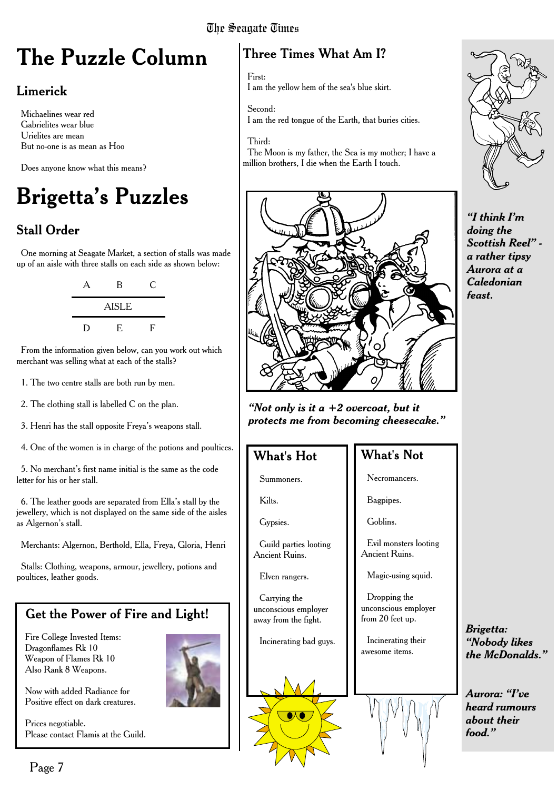#### The Seanate Times

## **The Puzzle Column**

#### Limerick

Michaelines wear red Gabrielites wear blue Urielites are mean But no-one is as mean as Hoo

Does anyone know what this means?

## **Brigetta's Puzzles**

### Stall Order

One morning at Seagate Market, a section of stalls was made up of an aisle with three stalls on each side as shown below:

| А   | В            | C. |
|-----|--------------|----|
|     | <b>AISLE</b> |    |
| , י | F.           | F  |

From the information given below, can you work out which merchant was selling what at each of the stalls?

1. The two centre stalls are both run by men.

2. The clothing stall is labelled C on the plan.

3. Henri has the stall opposite Freya's weapons stall.

4. One of the women is in charge of the potions and poultices.

5. No merchant's first name initial is the same as the code letter for his or her stall.

6. The leather goods are separated from Ella's stall by the jewellery, which is not displayed on the same side of the aisles as Algernon's stall.

Merchants: Algernon, Berthold, Ella, Freya, Gloria, Henri

Stalls: Clothing, weapons, armour, jewellery, potions and poultices, leather goods.

#### Get the Power of Fire and Light!

Fire College Invested Items: Dragonflames Rk 10 Weapon of Flames Rk 10 Also Rank 8 Weapons.



Now with added Radiance for Positive effect on dark creatures.

Prices negotiable. Please contact Flamis at the Guild.

### Three Times What Am I?

First: I am the yellow hem of the sea's blue skirt.

Second: I am the red tongue of the Earth, that buries cities.

Third: The Moon is my father, the Sea is my mother; I have a million brothers, I die when the Earth I touch.



*"Not only is it a +2 overcoat, but it protects me from becoming cheesecake."*

#### What's Hot

Summoners.

Kilts.

Gypsies.

Guild parties looting Ancient Ruins.

Elven rangers.

Carrying the unconscious employer away from the fight.

Incinerating bad guys.





*"I think I'm doing the Scottish Reel" a rather tipsy Aurora at a Caledonian feast.*

What's Not Necromancers.

Bagpipes.

Goblins.

Evil monsters looting Ancient Ruins.

Magic-using squid.

Dropping the unconscious employer from 20 feet up.

Incinerating their awesome items.



*Brigetta: "Nobody likes the McDonalds."*

*Aurora: "I've heard rumours about their food."*